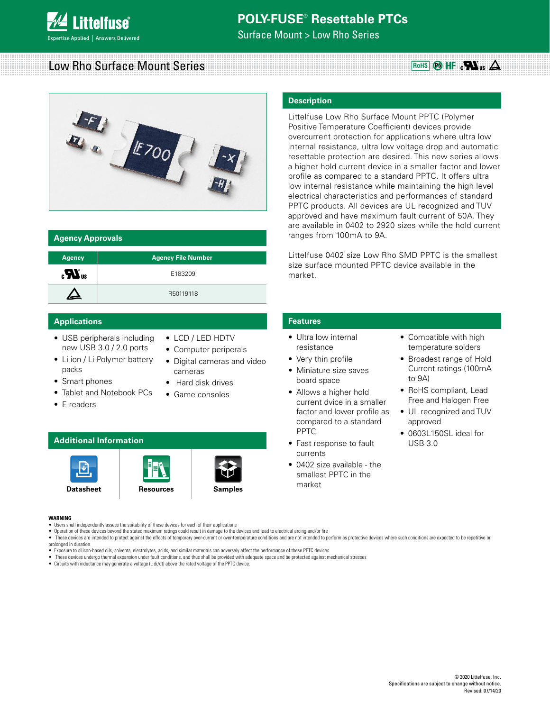

Surface Mount > Low Rho Series

**Description**

# Low Rho Surface Mount Series **Accord Accord Contract Contract Contract** Control Control Control Control Control Control Control Control Control Control Control Control Control Control Control Control Control Control Contro



| <b>Agency Approvals</b>             |                           |
|-------------------------------------|---------------------------|
| <b>Agency</b>                       | <b>Agency File Number</b> |
| $\mathbf{c}$ <b>N</b> <sub>us</sub> | E183209                   |
|                                     | R50119118                 |

### **Applications Features**

- USB peripherals including new USB 3.0 / 2.0 ports
- Li-ion / Li-Polymer battery packs
- Smart phones
- Tablet and Notebook PCs
- E-readers
- LCD / LED HDTV
- Computer periperals
- Digital cameras and video cameras
- Hard disk drives
- Game consoles

### **Additional Information**







PPTC products. All devices are UL recognized and TUV approved and have maximum fault current of 50A. They are available in 0402 to 2920 sizes while the hold current ranges from 100mA to 9A.

Littelfuse 0402 size Low Rho SMD PPTC is the smallest size surface mounted PPTC device available in the market.

Littelfuse Low Rho Surface Mount PPTC (Polymer Positive Temperature Coefficient) devices provide overcurrent protection for applications where ultra low internal resistance, ultra low voltage drop and automatic resettable protection are desired. This new series allows a higher hold current device in a smaller factor and lower profile as compared to a standard PPTC. It offers ultra low internal resistance while maintaining the high level electrical characteristics and performances of standard

- Ultra low internal resistance
- Very thin profile
- Miniature size saves board space
- Allows a higher hold current dvice in a smaller factor and lower profile as compared to a standard PPTC
- Fast response to fault currents
- 0402 size available the smallest PPTC in the market
- Compatible with high temperature solders
- Broadest range of Hold Current ratings (100mA to 9A)
- RoHS compliant, Lead Free and Halogen Free
- UL recognized and TUV approved
- 0603L150SL ideal for USB 3.0

#### **WARNING**

- Users shall independently assess the suitability of these devices for each of their applications
- Operation of these devices beyond the stated maximum ratings could result in damage to the devices and lead to electrical arcing and/or fire
- . These devices are intended to protect against the effects of temporary over-current or over-temperature conditions and are not intended to perform as protective devices where such conditions are expected to be repetitive prolonged in duration
- Exposure to silicon-based oils, solvents, electrolytes, acids, and similar materials can adversely affect the performance of these PPTC devices
- These devices undergo thermal expansion under fault conditions, and thus shall be provided with adequate space and be protected against mechanical stresses
- Circuits with inductance may generate a voltage (L di/dt) above the rated voltage of the PPTC device.

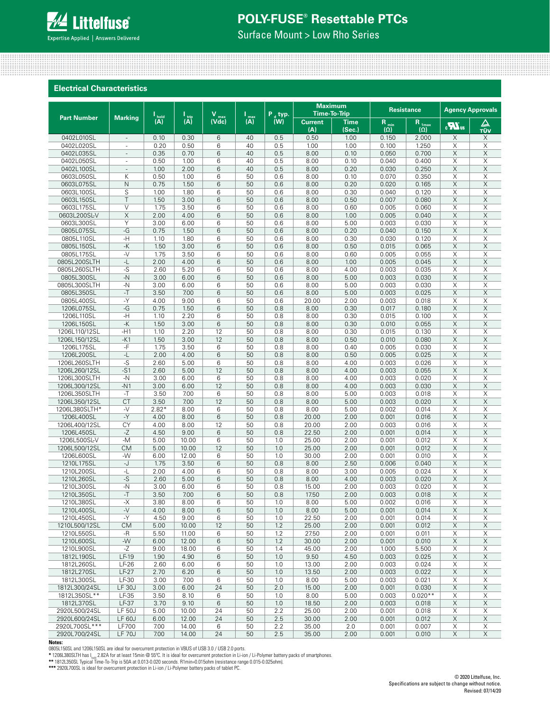Surface Mount > Low Rho Series

### **Electrical Characteristics**

|                               |                          |              |                             | v                       |                                  | $P_{A}$ typ. |                       | <b>Maximum</b><br><b>Time-To-Trip</b> |                        | <b>Resistance</b>        |                       | <b>Agency Approvals</b> |
|-------------------------------|--------------------------|--------------|-----------------------------|-------------------------|----------------------------------|--------------|-----------------------|---------------------------------------|------------------------|--------------------------|-----------------------|-------------------------|
| <b>Part Number</b>            | <b>Marking</b>           | I<br>(A)     | $\overline{(\overline{A})}$ | $\overline{\text{Var}}$ | $\overline{(\mathsf{A})}^{\max}$ | (W)          | <b>Current</b><br>(A) | <b>Time</b><br>(Sec.)                 | $R_{min}$ ( $\Omega$ ) | $R_{1\text{max}}$<br>(0) | $\mathbf{R}$          | △<br>TÜV                |
| 0402L010SL                    | $\overline{\phantom{a}}$ | 0.10         | 0.30                        | 6                       | 40                               | 0.5          | 0.50                  | 1.00                                  | 0.150                  | 2.000                    | X                     | X                       |
| 0402L020SL                    | $\overline{\phantom{m}}$ | 0.20         | 0.50                        | 6                       | 40                               | 0.5          | 1.00                  | 1.00                                  | 0.100                  | 1.250                    | X                     | Χ                       |
| 0402L035SL                    | $\overline{\phantom{a}}$ | 0.35         | 0.70                        | 6                       | 40                               | 0.5          | 8.00                  | 0.10                                  | 0.050                  | 0.700                    | X                     | Χ                       |
| 0402L050SL                    | ٠                        | 0.50         | 1.00                        | 6                       | 40                               | 0.5          | 8.00                  | 0.10                                  | 0.040                  | 0.400                    | X                     | Χ                       |
| 0402L100SL                    | $\frac{1}{2}$            | 1.00         | 2.00                        | 6                       | 40                               | 0.5          | 8.00                  | 0.20                                  | 0.030                  | 0.250                    | X                     | Χ                       |
| 0603L050SL                    | K                        | 0.50         | 1.00                        | 6                       | 50                               | 0.6          | 8.00                  | 0.10                                  | 0.070                  | 0.350                    | X                     | Χ                       |
| 0603L075SL<br>0603L100SL      | $\mathsf{N}$<br>S        | 0.75<br>1.00 | 1.50<br>1.80                | 6<br>6                  | 50<br>50                         | 0.6<br>0.6   | 8.00<br>8.00          | 0.20<br>0.30                          | 0.020<br>0.040         | 0.165<br>0.120           | X<br>X                | Χ<br>X                  |
| 0603L150SL                    | T                        | 1.50         | 3.00                        | 6                       | 50                               | 0.6          | 8.00                  | 0.50                                  | 0.007                  | 0.080                    | $\times$              | X                       |
| 0603L175SL                    | $\vee$                   | 1.75         | 3.50                        | 6                       | 50                               | 0.6          | 8.00                  | 0.60                                  | 0.005                  | 0.060                    | X                     | Χ                       |
| 0603L200SL-V                  | $\times$                 | 2.00         | 4.00                        | 6                       | 50                               | 0.6          | 8.00                  | 1.00                                  | 0.005                  | 0.040                    | $\times$              | Χ                       |
| 0603L300SL                    | Y                        | 3.00         | 6.00                        | 6                       | 50                               | 0.6          | 8.00                  | 5.00                                  | 0.003                  | 0.030                    | X                     | X                       |
| 0805L075SL                    | -G                       | 0.75         | 1.50                        | 6                       | 50                               | 0.6          | 8.00                  | 0.20                                  | 0.040                  | 0.150                    | $\times$              | Χ                       |
| 0805L110SL                    | -H                       | 1.10         | 1.80                        | 6                       | 50                               | 0.6          | 8.00                  | 0.30                                  | 0.030                  | 0.120                    | Χ                     | Χ                       |
| 0805L150SL                    | $-K$                     | 1.50         | 3.00                        | 6                       | 50                               | 0.6          | 8.00                  | 0.50                                  | 0.015                  | 0.065                    | X                     | X                       |
| 0805L175SL                    | $-V$                     | 1.75         | 3.50                        | 6                       | 50                               | 0.6          | 8.00                  | 0.60                                  | 0.005                  | 0.055                    | $\times$              | X                       |
| 0805L200SLTH                  | -L                       | 2.00         | 4.00                        | 6                       | 50                               | 0.6          | 8.00                  | 1.00                                  | 0.005                  | 0.045                    | $\times$              | X                       |
| 0805L260SLTH                  | $-S$                     | 2.60         | 5.20                        | 6                       | 50                               | 0.6          | 8.00                  | 4.00                                  | 0.003                  | 0.035                    | X                     | Χ                       |
| 0805L300SL<br>0805L300SLTH    | $-N$                     | 3.00         | 6.00                        | 6                       | 50                               | 0.6          | 8.00                  | 5.00                                  | 0.003                  | 0.030                    | $\times$              | Χ                       |
| 0805L350SL                    | $-N$<br>$-T$             | 3.00<br>3.50 | 6.00<br>7.00                | 6<br>6                  | 50<br>50                         | 0.6<br>0.6   | 8.00<br>8.00          | 5.00<br>5.00                          | 0.003<br>0.003         | 0.030<br>0.025           | X<br>$\mathsf X$      | X<br>Χ                  |
| 0805L400SL                    | $-Y$                     | 4.00         | 9.00                        | 6                       | 50                               | 0.6          | 20.00                 | 2.00                                  | 0.003                  | 0.018                    | Χ                     | Χ                       |
| 1206L075SL                    | -G                       | 0.75         | 1.50                        | 6                       | 50                               | 0.8          | 8.00                  | 0.30                                  | 0.017                  | 0.180                    | X                     | Χ                       |
| 1206L110SL                    | -H                       | 1.10         | 2.20                        | 6                       | 50                               | 0.8          | 8.00                  | 0.30                                  | 0.015                  | 0.100                    | X                     | Χ                       |
| 1206L150SL                    | -K                       | 1.50         | 3.00                        | 6                       | 50                               | 0.8          | 8.00                  | 0.30                                  | 0.010                  | 0.055                    | $\times$              | X                       |
| 1206L110/12SL                 | $-H1$                    | 1.10         | 2.20                        | 12                      | 50                               | 0.8          | 8.00                  | 0.30                                  | 0.015                  | 0.130                    | X                     | X                       |
| 1206L150/12SL                 | $-K1$                    | 1.50         | 3.00                        | 12                      | 50                               | 0.8          | 8.00                  | 0.50                                  | 0.010                  | 0.080                    | $\times$              | X                       |
| 1206L175SL                    | -F                       | 1.75         | 3.50                        | 6                       | 50                               | 0.8          | 8.00                  | 0.40                                  | 0.005                  | 0.030                    | X                     | Χ                       |
| 1206L200SL                    | -L                       | 2.00         | 4.00                        | 6                       | 50                               | 0.8          | 8.00                  | 0.50                                  | 0.005                  | 0.025                    | $\times$              | X                       |
| 1206L260SLTH                  | $-S$                     | 2.60         | 5.00                        | 6                       | 50                               | 0.8          | 8.00                  | 4.00                                  | 0.003                  | 0.026                    | Χ                     | Χ                       |
| 1206L260/12SL                 | $-S1$                    | 2.60         | 5.00                        | 12                      | 50                               | 0.8          | 8.00                  | 4.00                                  | 0.003                  | 0.055                    | X                     | Χ                       |
| 1206L300SLTH                  | $-N$                     | 3.00         | 6.00                        | 6                       | 50                               | 0.8          | 8.00                  | 4.00                                  | 0.003                  | 0.020                    | X                     | Χ                       |
| 1206L300/12SL                 | $-N1$<br>$-T$            | 3.00         | 6.00<br>7.00                | 12<br>6                 | 50<br>50                         | 0.8          | 8.00<br>8.00          | 4.00                                  | 0.003                  | 0.030<br>0.018           | X<br>X                | X<br>X                  |
| 1206L350SLTH<br>1206L350/12SL | <b>CT</b>                | 3.50<br>3.50 | 7.00                        | 12                      | 50                               | 0.8<br>0.8   | 8.00                  | 5.00<br>5.00                          | 0.003<br>0.003         | 0.020                    | $\times$              | Χ                       |
| 1206L380SLTH*                 | $-V$                     | $2.82*$      | 8.00                        | 6                       | 50                               | 0.8          | 8.00                  | 5.00                                  | 0.002                  | 0.014                    | X                     | Χ                       |
| 1206L400SL                    | $-Y$                     | 4.00         | 8.00                        | 6                       | 50                               | 0.8          | 20.00                 | 2.00                                  | 0.001                  | 0.016                    | $\times$              | Χ                       |
| 1206L400/12SL                 | CY                       | 4.00         | 8.00                        | 12                      | 50                               | 0.8          | 20.00                 | 2.00                                  | 0.003                  | 0.016                    | X                     | Χ                       |
| 1206L450SL                    | -Z                       | 4.50         | 9.00                        | 6                       | 50                               | 0.8          | 22.50                 | 2.00                                  | 0.001                  | 0.014                    | Χ                     | Χ                       |
| 1206L500SL-V                  | $-M$                     | 5.00         | 10.00                       | 6                       | 50                               | 1.0          | 25.00                 | 2.00                                  | 0.001                  | 0.012                    | X                     | X                       |
| 1206L500/12SL                 | <b>CM</b>                | 5.00         | 10.00                       | 12                      | 50                               | 1.0          | 25.00                 | 2.00                                  | 0.001                  | 0.012                    | $\times$              | Χ                       |
| 1206L600SL                    | $-W$                     | 6.00         | 12.00                       | 6                       | 50                               | 1.0          | 30.00                 | 2.00                                  | 0.001                  | 0.010                    | X                     | X                       |
| 1210L175SL                    | -J                       | 1.75         | 3.50                        | 6                       | 50                               | 0.8          | 8.00                  | 2.50                                  | 0.006                  | 0.040                    | $\times$              | Χ                       |
| 1210L200SL<br>1210L260SL      | -L<br>-S                 | 2.00         | 4.00<br>5.00                | 6<br>6                  | 50<br>50                         | 0.8<br>0.8   | 8.00<br>8.00          | 3.00<br>4.00                          | 0.005<br>0.003         | 0.024<br>0.020           | X<br>X                | Χ<br>X                  |
| 1210L300SL                    | $-N$                     | 2.60<br>3.00 | 6.00                        | 6                       | 50                               | 0.8          | 15.00                 | 2.00                                  | 0.003                  | 0.020                    | Χ                     | Χ                       |
| 1210L350SL                    | $-T$                     | 3.50         | 7.00                        | 6                       | 50                               | 0.8          | 17.50                 | 2.00                                  | 0.003                  | 0.018                    | X                     | X                       |
| 1210L380SL                    | -X                       | 3.80         | 8.00                        | 6                       | 50                               | 1.0          | 8.00                  | 5.00                                  | 0.002                  | 0.016                    | Χ                     | Χ                       |
| 1210L400SL                    | $-V$                     | 4.00         | 8.00                        | 6                       | 50                               | 1.0          | 8.00                  | 5.00                                  | 0.001                  | 0.014                    | $\mathsf X$           | X                       |
| 1210L450SL                    | $-Y$                     | 4.50         | 9.00                        | 6                       | 50                               | 1.0          | 22.50                 | 2.00                                  | 0.001                  | 0.014                    | X                     | Χ                       |
| 1210L500/12SL                 | <b>CM</b>                | 5.00         | 10.00                       | 12                      | 50                               | 1.2          | 25.00                 | 2.00                                  | 0.001                  | 0.012                    | $\mathsf X$           | X                       |
| 1210L550SL                    | -R                       | 5.50         | 11.00                       | 6                       | 50                               | 1.2          | 27.50                 | 2.00                                  | 0.001                  | 0.011                    | X                     | X                       |
| 1210L600SL                    | $-W$                     | 6.00         | 12.00                       | 6                       | 50                               | 1.2          | 30.00                 | 2.00                                  | 0.001                  | 0.010                    | $\overline{X}$        | X                       |
| 1210L900SL                    | $-Z$                     | 9.00         | 18.00                       | 6                       | 50                               | 1.4          | 45.00                 | 2.00                                  | 1.000                  | 5.500                    | X                     | X                       |
| 1812L190SL                    | $LF-19$                  | 1.90         | 4.90                        | 6                       | 50                               | 1.0          | 9.50                  | 4.50                                  | 0.003                  | 0.025                    | $\mathsf X$           | X                       |
| 1812L260SL                    | $LF-26$                  | 2.60         | 6.00                        | 6                       | 50                               | 1.0          | 13.00                 | 2.00                                  | 0.003                  | 0.024                    | X                     | Χ                       |
| 1812L270SL<br>1812L300SL      | LF-27<br>LF-30           | 2.70<br>3.00 | 6.20<br>7.00                | 6<br>6                  | 50<br>50                         | 1.0<br>1.0   | 13.50<br>8.00         | 2.00<br>5.00                          | 0.003<br>0.003         | 0.022<br>0.021           | $\times$<br>X         | X<br>X                  |
| 1812L300/24SL                 | <b>LF 30J</b>            | 3.00         | 6.00                        | 24                      | 50                               | 2.0          | 15.00                 | 2.00                                  | 0.001                  | 0.030                    | $\mathsf X$           | X                       |
| 1812L350SL**                  | LF-35                    | 3.50         | 8.10                        | 6                       | 50                               | 1.0          | 8.00                  | 5.00                                  | 0.003                  | $0.020**$                | Χ                     | $\boldsymbol{\times}$   |
| 1812L370SL                    | LF-37                    | 3.70         | 9.10                        | 6                       | 50                               | 1.0          | 18.50                 | 2.00                                  | 0.003                  | 0.018                    | X                     | X                       |
| 2920L500/24SL                 | <b>LF 50J</b>            | 5.00         | 10.00                       | 24                      | 50                               | 2.2          | 25.00                 | 2.00                                  | 0.001                  | 0.018                    | X                     | X                       |
| 2920L600/24SL                 | <b>LF 60J</b>            | 6.00         | 12.00                       | 24                      | 50                               | 2.5          | 30.00                 | 2.00                                  | 0.001                  | 0.012                    | X                     | X                       |
| 2920L700SL***                 | LF700                    | 7.00         | 14.00                       | 6                       | 50                               | 2.2          | 35.00                 | 2.0                                   | 0.001                  | 0.007                    | $\boldsymbol{\times}$ | Χ                       |
| 2920L700/24SL                 | <b>LF 70J</b>            | 7.00         | 14.00                       | 24                      | 50                               | 2.5          | 35.00                 | 2.00                                  | 0.001                  | 0.010                    | X                     | Χ                       |

#### **Notes:**

0805L150SL and 1206L150SL are ideal for overcurrent protection in VBUS of USB 3.0 / USB 2.0 ports.<br>\* 106L380SLTH has I<sub>sula</sub> 2.82A for at least 15min @ 55°C. It is ideal for overcurrent protection in Li-ion / Li-Polymer ba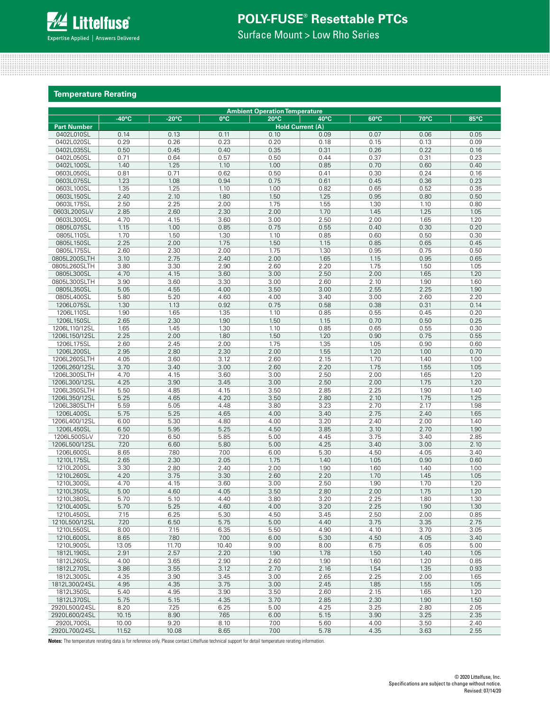

Surface Mount > Low Rho Series

### **Temperature Rerating**

|                               | <b>Ambient Operation Temperature</b> |                 |              |                |                         |              |              |              |  |  |  |
|-------------------------------|--------------------------------------|-----------------|--------------|----------------|-------------------------|--------------|--------------|--------------|--|--|--|
|                               | $-40^{\circ}$ C                      | $-20^{\circ}$ C | 0°C          | $20^{\circ}$ C | 40°C                    | 60°C         | 70°C         | 85°C         |  |  |  |
| <b>Part Number</b>            |                                      |                 |              |                | <b>Hold Current (A)</b> |              |              |              |  |  |  |
| 0402L010SL                    | 0.14                                 | 0.13            | 0.11         | 0.10           | 0.09                    | 0.07         | 0.06         | 0.05         |  |  |  |
| 0402L020SL                    | 0.29                                 | 0.26            | 0.23         | 0.20           | 0.18                    | 0.15         | 0.13         | 0.09         |  |  |  |
| 0402L035SL                    | 0.50                                 | 0.45            | 0.40         | 0.35           | 0.31                    | 0.26         | 0.22         | 0.16         |  |  |  |
| 0402L050SL                    | 0.71                                 | 0.64            | 0.57         | 0.50           | 0.44                    | 0.37         | 0.31         | 0.23         |  |  |  |
| 0402L100SL                    | 1.40                                 | 1.25            | 1.10         | 1.00           | 0.85                    | 0.70         | 0.60         | 0.40         |  |  |  |
| 0603L050SL                    | 0.81                                 | 0.71            | 0.62         | 0.50           | 0.41                    | 0.30         | 0.24         | 0.16         |  |  |  |
| 0603L075SL                    | 1.23                                 | 1.08            | 0.94         | 0.75           | 0.61                    | 0.45         | 0.36         | 0.23         |  |  |  |
| 0603L100SL                    | 1.35                                 | 1.25            | 1.10         | 1.00           | 0.82                    | 0.65         | 0.52         | 0.35         |  |  |  |
| 0603L150SL<br>0603L175SL      | 2.40<br>2.50                         | 2.10<br>2.25    | 1.80<br>2.00 | 1.50<br>1.75   | 1.25<br>1.55            | 0.95<br>1.30 | 0.80<br>1.10 | 0.50<br>0.80 |  |  |  |
| 0603L200SL-V                  | 2.85                                 | 2.60            | 2.30         | 2.00           | 1.70                    | 1.45         | 1.25         | 1.05         |  |  |  |
| 0603L300SL                    | 4.70                                 | 4.15            | 3.60         | 3.00           | 2.50                    | 2.00         | 1.65         | 1.20         |  |  |  |
| 0805L075SL                    | 1.15                                 | 1.00            | 0.85         | 0.75           | 0.55                    | 0.40         | 0.30         | 0.20         |  |  |  |
| 0805L110SL                    | 1.70                                 | 1.50            | 1.30         | 1.10           | 0.85                    | 0.60         | 0.50         | 0.30         |  |  |  |
| 0805L150SL                    | 2.25                                 | 2.00            | 1.75         | 1.50           | 1.15                    | 0.85         | 0.65         | 0.45         |  |  |  |
| 0805L175SL                    | 2.60                                 | 2.30            | 2.00         | 1.75           | 1.30                    | 0.95         | 0.75         | 0.50         |  |  |  |
| 0805L200SLTH                  | 3.10                                 | 2.75            | 2.40         | 2.00           | 1.65                    | 1.15         | 0.95         | 0.65         |  |  |  |
| 0805L260SLTH                  | 3.80                                 | 3.30            | 2.90         | 2.60           | 2.20                    | 1.75         | 1.50         | 1.05         |  |  |  |
| 0805L300SL                    | 4.70                                 | 4.15            | 3.60         | 3.00           | 2.50                    | 2.00         | 1.65         | 1.20         |  |  |  |
| 0805L300SLTH                  | 3.90                                 | 3.60            | 3.30         | 3.00           | 2.60                    | 2.10         | 1.90         | 1.60         |  |  |  |
| 0805L350SL                    | 5.05                                 | 4.55            | 4.00         | 3.50           | 3.00                    | 2.55         | 2.25         | 1.90         |  |  |  |
| 0805L400SL                    | 5.80                                 | 5.20            | 4.60         | 4.00           | 3.40                    | 3.00         | 2.60         | 2.20         |  |  |  |
| 1206L075SL                    | 1.30                                 | 1.13            | 0.92         | 0.75           | 0.58                    | 0.38         | 0.31         | 0.14         |  |  |  |
| 1206L110SL                    | 1.90                                 | 1.65            | 1.35         | 1.10           | 0.85                    | 0.55         | 0.45         | 0.20         |  |  |  |
| 1206L150SL                    | 2.65                                 | 2.30            | 1.90         | 1.50           | 1.15                    | 0.70         | 0.50         | 0.25         |  |  |  |
| 1206L110/12SL                 | 1.65                                 | 1.45            | 1.30         | 1.10           | 0.85                    | 0.65         | 0.55         | 0.30         |  |  |  |
| 1206L150/12SL                 | 2.25                                 | 2.00            | 1.80         | 1.50           | 1.20                    | 0.90         | 0.75         | 0.55         |  |  |  |
| 1206L175SL                    | 2.60                                 | 2.45            | 2.00         | 1.75           | 1.35                    | 1.05         | 0.90         | 0.60         |  |  |  |
| 1206L200SL                    | 2.95                                 | 2.80            | 2.30         | 2.00           | 1.55                    | 1.20         | 1.00         | 0.70         |  |  |  |
| 1206L260SLTH                  | 4.05<br>3.70                         | 3.60<br>3.40    | 3.12<br>3.00 | 2.60<br>2.60   | 2.15<br>2.20            | 1.70<br>1.75 | 1.40<br>1.55 | 1.00<br>1.05 |  |  |  |
| 1206L260/12SL<br>1206L300SLTH | 4.70                                 | 4.15            | 3.60         | 3.00           | 2.50                    | 2.00         | 1.65         | 1.20         |  |  |  |
| 1206L300/12SL                 | 4.25                                 | 3.90            | 3.45         | 3.00           | 2.50                    | 2.00         | 1.75         | 1.20         |  |  |  |
| 1206L350SLTH                  | 5.50                                 | 4.85            | 4.15         | 3.50           | 2.85                    | 2.25         | 1.90         | 1.40         |  |  |  |
| 1206L350/12SL                 | 5.25                                 | 4.65            | 4.20         | 3.50           | 2.80                    | 2.10         | 1.75         | 1.25         |  |  |  |
| 1206L380SLTH                  | 5.59                                 | 5.05            | 4.48         | 3.80           | 3.23                    | 2.70         | 2.17         | 1.98         |  |  |  |
| 1206L400SL                    | 5.75                                 | 5.25            | 4.65         | 4.00           | 3.40                    | 2.75         | 2.40         | 1.65         |  |  |  |
| 1206L400/12SL                 | 6.00                                 | 5.30            | 4.80         | 4.00           | 3.20                    | 2.40         | 2.00         | 1.40         |  |  |  |
| 1206L450SL                    | 6.50                                 | 5.95            | 5.25         | 4.50           | 3.85                    | 3.10         | 2.70         | 1.90         |  |  |  |
| 1206L500SL-V                  | 7.20                                 | 6.50            | 5.85         | 5.00           | 4.45                    | 3.75         | 3.40         | 2.85         |  |  |  |
| 1206L500/12SL                 | 7.20                                 | 6.60            | 5.80         | 5.00           | 4.25                    | 3.40         | 3.00         | 2.10         |  |  |  |
| 1206L600SL                    | 8.65                                 | 7.80            | 7.00         | 6.00           | 5.30                    | 4.50         | 4.05         | 3.40         |  |  |  |
| 1210L175SL                    | 2.65                                 | 2.30            | 2.05         | 1.75           | 1.40                    | 1.05         | 0.90         | 0.60         |  |  |  |
| 1210L200SL                    | 3.30                                 | 2.80            | 2.40         | 2.00           | 1.90                    | 1.60         | 1.40         | 1.00         |  |  |  |
| 1210L260SL                    | 4.20                                 | 3.75            | 3.30         | 2.60           | 2.20                    | 1.70         | 1.45         | 1.05         |  |  |  |
| 1210L300SL                    | 4.70                                 | 4.15            | 3.60         | 3.00           | 2.50                    | 1.90         | 1.70         | 1.20         |  |  |  |
| 1210L350SL                    | 5.00                                 | 4.60            | 4.05         | 3.50           | 2.80                    | 2.00         | 1.75         | 1.20         |  |  |  |
| 1210L380SL                    | 5.70                                 | 5.10            | 4.40         | 3.80           | 3.20                    | 2.25         | 1.80         | 1.30         |  |  |  |
| 1210L400SL<br>1210L450SL      | 5.70<br>7.15                         | 5.25<br>6.25    | 4.60<br>5.30 | 4.00<br>4.50   | 3.20<br>3.45            | 2.25<br>2.50 | 1.90<br>2.00 | 1.30<br>0.85 |  |  |  |
| 1210L500/12SL                 | 7.20                                 | 6.50            | 5.75         | 5.00           | 4.40                    | 3.75         | 3.35         | 2.75         |  |  |  |
| 1210L550SL                    | 8.00                                 | 7.15            | 6.35         | 5.50           | 4.90                    | 4.10         | 3.70         | 3.05         |  |  |  |
| 1210L600SL                    | 8.65                                 | 7.80            | 7.00         | 6.00           | 5.30                    | 4.50         | 4.05         | 3.40         |  |  |  |
| 1210L900SL                    | 13.05                                | 11.70           | 10.40        | 9.00           | 8.00                    | 6.75         | 6.05         | 5.00         |  |  |  |
| 1812L190SL                    | 2.91                                 | 2.57            | 2.20         | 1.90           | 1.78                    | 1.50         | 1.40         | 1.05         |  |  |  |
| 1812L260SL                    | 4.00                                 | 3.65            | 2.90         | 2.60           | 1.90                    | 1.60         | 1.20         | 0.85         |  |  |  |
| 1812L270SL                    | 3.86                                 | 3.55            | 3.12         | 2.70           | 2.16                    | 1.54         | 1.35         | 0.93         |  |  |  |
| 1812L300SL                    | 4.35                                 | 3.90            | 3.45         | 3.00           | 2.65                    | 2.25         | 2.00         | 1.65         |  |  |  |
| 1812L300/24SL                 | 4.95                                 | 4.35            | 3.75         | 3.00           | 2.45                    | 1.85         | 1.55         | 1.05         |  |  |  |
| 1812L350SL                    | 5.40                                 | 4.95            | 3.90         | 3.50           | 2.60                    | 2.15         | 1.65         | 1.20         |  |  |  |
| 1812L370SL                    | 5.75                                 | 5.15            | 4.35         | 3.70           | 2.85                    | 2.30         | 1.90         | 1.50         |  |  |  |
| 2920L500/24SL                 | 8.20                                 | 7.25            | 6.25         | 5.00           | 4.25                    | 3.25         | 2.80         | 2.05         |  |  |  |
| 2920L600/24SL                 | 10.15                                | 8.90            | 7.65         | 6.00           | 5.15                    | 3.90         | 3.25         | 2.35         |  |  |  |
| 2920L700SL                    | 10.00                                | 9.20            | 8.10         | 7.00           | 5.60                    | 4.00         | 3.50         | 2.40         |  |  |  |
| 2920L700/24SL                 | 11.52                                | 10.08           | 8.65         | 7.00           | 5.78                    | 4.35         | 3.63         | 2.55         |  |  |  |

**Notes:** The temperature rerating data is for reference only. Please contact Littelfuse technical support for detail temperature rerating information.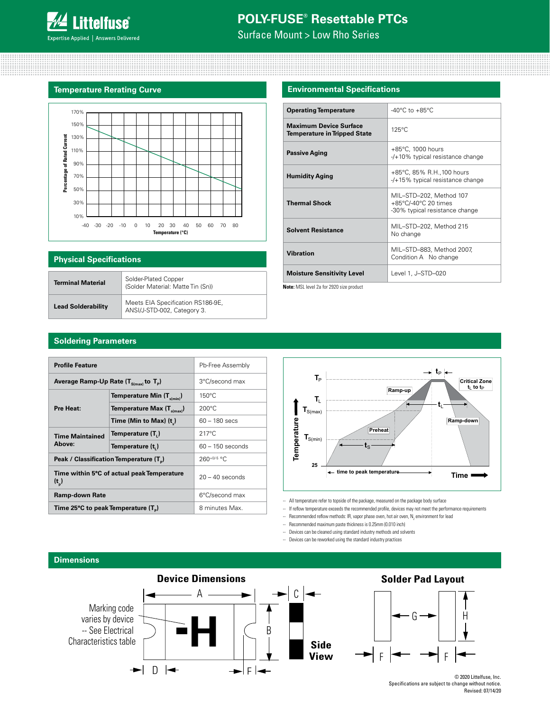Surface Mount > Low Rho Series

### **Temperature Rerating Curve**



### **Physical Specifications**

| <b>Terminal Material</b>  | Solder-Plated Copper<br>(Solder Material: Matte Tin (Sn))        |
|---------------------------|------------------------------------------------------------------|
| <b>Lead Solderability</b> | Meets EIA Specification RS186-9E,<br>ANSI/J-STD-002, Category 3. |

### **Environmental Specifications**

| <b>Operating Temperature</b>                                         | -40 $^{\circ}$ C to +85 $^{\circ}$ C                                              |
|----------------------------------------------------------------------|-----------------------------------------------------------------------------------|
| <b>Maximum Device Surface</b><br><b>Temperature in Tripped State</b> | $125^{\circ}$ C                                                                   |
| <b>Passive Aging</b>                                                 | $+85^{\circ}$ C, 1000 hours<br>$-$ /+10% typical resistance change                |
| <b>Humidity Aging</b>                                                | +85°C, 85% R.H., 100 hours<br>-/+15% typical resistance change                    |
| <b>Thermal Shock</b>                                                 | MIL-STD-202, Method 107<br>+85°C/-40°C 20 times<br>-30% typical resistance change |
| <b>Solvent Resistance</b>                                            | MIL-STD-202, Method 215<br>No change                                              |
| <b>Vibration</b>                                                     | MIL-STD-883, Method 2007,<br>Condition A No change                                |
| <b>Moisture Sensitivity Level</b>                                    | Level 1, J-STD-020                                                                |

**Note:** MSL level 2a for 2920 size product

### **Soldering Parameters**

| <b>Profile Feature</b>                               | Pb-Free Assembly                                    |                    |
|------------------------------------------------------|-----------------------------------------------------|--------------------|
| Average Ramp-Up Rate $(T_{\text{S(max})}$ to $T_p$ ) | 3°C/second max                                      |                    |
|                                                      | Temperature Min $(T_{s(min)})$                      | $150^{\circ}$ C    |
| Pre Heat:                                            | $200^{\circ}$ C                                     |                    |
|                                                      | Time (Min to Max) $(t_*)$                           | $60 - 180$ secs    |
| <b>Time Maintained</b>                               | Temperature (T <sub>.</sub> )                       | $217^{\circ}$ C    |
| Above:                                               | Temperature (t,)                                    | $60 - 150$ seconds |
|                                                      | Peak / Classification Temperature (T <sub>a</sub> ) | $260^{+0/5}$ °C    |
| $(t_n)$                                              | Time within 5°C of actual peak Temperature          | $20 - 40$ seconds  |
| <b>Ramp-down Rate</b>                                |                                                     | 6°C/second max     |
| Time 25°C to peak Temperature (T <sub>p</sub> )      |                                                     | 8 minutes Max.     |



-- All temperature refer to topside of the package, measured on the package body surface

- -- If reflow temperature exceeds the recommended profile, devices may not meet the performance requirements
- -- Recommended reflow methods: IR, vapor phase oven, hot air oven,  $\mathsf{N}_2$  environment for lead
- -- Recommended maximum paste thickness is 0.25mm (0.010 inch)
- -- Devices can be cleaned using standard industry methods and solvents
- -- Devices can be reworked using the standard industry practices

### **Dimensions**





© 2020 Littelfuse, Inc. Specifications are subject to change without notice. Revised: 07/14/20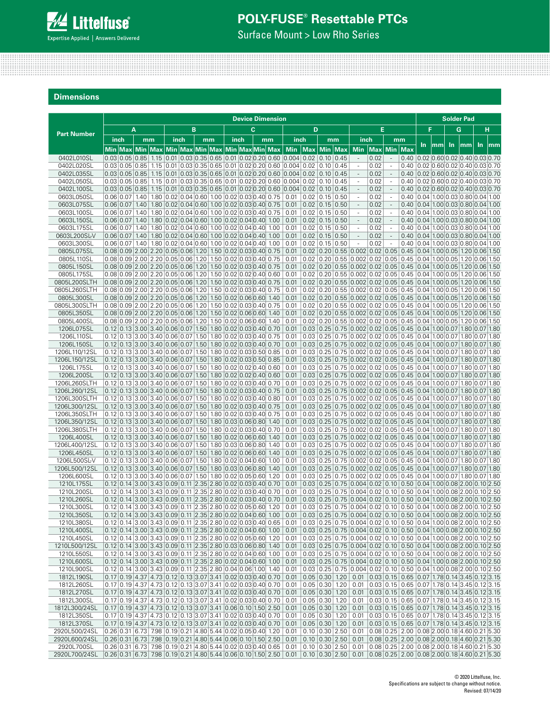

Surface Mount > Low Rho Series

**Dimensions**

|                                |                                                                                                                                                                                                                                                                  |   |      |  |                                                                |   |    |                          |    | <b>Device Dimension</b> |                                                                                                                                                      |                                              |                            |                                                                                                                                                                                                                          |              |                                                                                                                                                        |                                                                                                      |     |    |     | <b>Solder Pad</b> |     |                        |
|--------------------------------|------------------------------------------------------------------------------------------------------------------------------------------------------------------------------------------------------------------------------------------------------------------|---|------|--|----------------------------------------------------------------|---|----|--------------------------|----|-------------------------|------------------------------------------------------------------------------------------------------------------------------------------------------|----------------------------------------------|----------------------------|--------------------------------------------------------------------------------------------------------------------------------------------------------------------------------------------------------------------------|--------------|--------------------------------------------------------------------------------------------------------------------------------------------------------|------------------------------------------------------------------------------------------------------|-----|----|-----|-------------------|-----|------------------------|
| <b>Part Number</b>             |                                                                                                                                                                                                                                                                  | A |      |  |                                                                | в |    |                          | C. |                         |                                                                                                                                                      | D                                            |                            |                                                                                                                                                                                                                          | E            |                                                                                                                                                        |                                                                                                      | F   |    |     | G                 |     | н                      |
|                                | inch                                                                                                                                                                                                                                                             |   | mm   |  | inch                                                           |   | mm | inch                     |    | mm                      | inch                                                                                                                                                 |                                              | mm                         | inch                                                                                                                                                                                                                     |              | mm                                                                                                                                                     |                                                                                                      | In. | mm | In. | mm                | In. | $\mathsf{m}\mathsf{m}$ |
|                                | Min  Max   Min  Max   Min  Max   Min  Max   Min  Max  Min   Max                                                                                                                                                                                                  |   |      |  |                                                                |   |    |                          |    |                         |                                                                                                                                                      | Min $ Max Min Max$                           |                            | <b>Min</b>                                                                                                                                                                                                               |              | Max Min                                                                                                                                                | <b>Max</b>                                                                                           |     |    |     |                   |     |                        |
| 0402L010SL<br>0402L020SL       |                                                                                                                                                                                                                                                                  |   |      |  |                                                                |   |    |                          |    |                         | $0.03$ 0.05 0.85 1.15 0.01 0.03 0.35 0.65 0.01 0.02 0.20 0.60 0.004 0.02 0.10 0.45                                                                   |                                              |                            | $\blacksquare$                                                                                                                                                                                                           | 0.02         | $\overline{\phantom{a}}$                                                                                                                               | $0.40$ 0.02 0.60 0.02 0.40 0.03 0.70                                                                 |     |    |     |                   |     |                        |
| 0402L035SL                     |                                                                                                                                                                                                                                                                  |   |      |  |                                                                |   |    |                          |    |                         | $0.03 0.05 0.85 1.15 0.01 0.03 0.35 0.65 0.01 0.02 0.20 0.60 0.004 0.02$<br>$0.03 0.05 0.85 1.15 0.01 0.03 0.35 0.65 0.01 0.02 0.20 0.60 0.004 0.02$ |                                              | 0.10   0.45<br>0.10   0.45 | $\overline{\phantom{a}}$<br>$\bar{a}$                                                                                                                                                                                    | 0.02<br>0.02 | $\overline{\phantom{a}}$<br>$\sim$                                                                                                                     | $0.40$ 0.02 0.60 0.02 0.40 0.03 0.70<br>$0.40$ 0.02 0.60 0.02 0.40 0.03 0.70                         |     |    |     |                   |     |                        |
| 0402L050SL                     |                                                                                                                                                                                                                                                                  |   |      |  |                                                                |   |    |                          |    |                         | $0.03 0.05 0.85 1.15 0.01 0.03 0.35 0.65 0.01 0.02 0.20 0.60 0.004 0.02$                                                                             |                                              | 0.10   0.45                | ×.                                                                                                                                                                                                                       | 0.02         | $\overline{\phantom{a}}$                                                                                                                               | $0.40$   0.02 $ 0.60 0.02 0.40 0.03 0.70$                                                            |     |    |     |                   |     |                        |
| 0402L100SL                     |                                                                                                                                                                                                                                                                  |   |      |  |                                                                |   |    |                          |    |                         | $0.03 0.05 0.85 1.15 0.01 0.03 0.35 0.65 0.01 0.02 0.20 0.60 0.004 0.02$                                                                             |                                              | 0.10   0.45                | $\overline{\phantom{a}}$                                                                                                                                                                                                 | 0.02         | $\sim$                                                                                                                                                 | $0.40$ 0.02 0.60 0.02 0.40 0.03 0.70                                                                 |     |    |     |                   |     |                        |
| 0603L050SL                     | $0.06 0.07 1.40 1.80 0.02 0.04 0.60 1.00 0.02 0.03 0.40 0.75$<br>$0.06 0.07 1.40 1.80 0.02 0.04 0.60 1.00 0.02 0.03 0.40 0.75$                                                                                                                                   |   |      |  |                                                                |   |    |                          |    |                         | 0.01<br>0.01                                                                                                                                         | $0.02$   0.15   0.50<br>$0.02$   0.15   0.50 |                            | $\overline{\phantom{a}}$<br>$\overline{\phantom{a}}$                                                                                                                                                                     | 0.02<br>0.02 | $\overline{\phantom{a}}$                                                                                                                               | $0.40$ 0.04 1.00 0.03 0.80 0.04 1.00<br>$0.40$   0.04   1.00   0.03   0.80   0.04   1.00             |     |    |     |                   |     |                        |
| 0603L075SL<br>0603L100SL       | $0.06 0.07 1.40 1.80 0.02 0.04 0.60 1.00 0.02 0.03 0.40 0.75$                                                                                                                                                                                                    |   |      |  |                                                                |   |    |                          |    |                         | 0.01                                                                                                                                                 | $0.02$   0.15   0.50                         |                            | $\sim$                                                                                                                                                                                                                   | 0.02         | $\overline{\phantom{a}}$<br>$\sim$                                                                                                                     | $0.40$   0.04   1.00   0.03   0.80   0.04   1.00                                                     |     |    |     |                   |     |                        |
| 0603L150SL                     | 0.06 0.07                                                                                                                                                                                                                                                        |   | 1.40 |  | 1.80 0.02 0.04 0.60 1.00 0.02 0.04 0.40 1.00                   |   |    |                          |    |                         | 0.01                                                                                                                                                 | $0.02$   0.15   0.50                         |                            | $\overline{\phantom{a}}$                                                                                                                                                                                                 | 0.02         | $\overline{\phantom{a}}$                                                                                                                               | $0.40$   0.04   1.00   0.03   0.80   0.04   1.00                                                     |     |    |     |                   |     |                        |
| 0603L175SL                     | 0.06 0.07 1.40                                                                                                                                                                                                                                                   |   |      |  | $1.80   0.02   0.04   0.60   1.00   0.02   0.04   0.40   1.00$ |   |    |                          |    |                         | 0.01                                                                                                                                                 | $0.02$   0.15   0.50                         |                            | $\overline{\phantom{a}}$                                                                                                                                                                                                 | 0.02         | $\overline{\phantom{a}}$                                                                                                                               | $0.40$   0.04   1.00   0.03   0.80   0.04   1.00                                                     |     |    |     |                   |     |                        |
| 0603L200SL-V<br>0603L300SL     | $0.06$ 0.07 1.40 1.80 0.02 0.04 0.60 1.00 0.02 0.04 0.40 1.00<br>$0.06 0.07 1.40 1.80 0.02 0.04 0.60 1.00 0.02 0.04 0.40 1.00$                                                                                                                                   |   |      |  |                                                                |   |    |                          |    |                         | 0.01<br>0.01                                                                                                                                         | $0.02$   0.15   0.50<br>$0.02$ 0.15 0.50     |                            | $\bar{a}$<br>×,                                                                                                                                                                                                          | 0.02<br>0.02 | $\sim$<br>$\overline{\phantom{a}}$                                                                                                                     | $0.40$   0.04   1.00   0.03   0.80   0.04   1.00<br>$0.40   0.04   1.00   0.03   0.80   0.04   1.00$ |     |    |     |                   |     |                        |
| 0805L075SL                     | $0.08$ 0.09 2.00 2.20 0.05 0.06 1.20 1.50 0.02 0.03 0.40 0.75                                                                                                                                                                                                    |   |      |  |                                                                |   |    |                          |    |                         | 0.01                                                                                                                                                 |                                              |                            | $0.02$ 0.20 0.55 0.002 0.02 0.05 0.45 0.04 1.00 0.05 1.20 0.06 1.50                                                                                                                                                      |              |                                                                                                                                                        |                                                                                                      |     |    |     |                   |     |                        |
| 0805L110SL                     | $0.08 \mid 0.09 \mid 2.00 \mid 2.20 \mid 0.05 \mid 0.06 \mid 1.20 \mid 1.50 \mid 0.02 \mid 0.03 \mid 0.40 \mid 0.75$                                                                                                                                             |   |      |  |                                                                |   |    |                          |    |                         | 0.01                                                                                                                                                 |                                              |                            | $0.02$   0.20   0.55   0.002   0.02   0.05   0.45   0.04   1.00   0.05   1.20   0.06   1.50                                                                                                                              |              |                                                                                                                                                        |                                                                                                      |     |    |     |                   |     |                        |
| 0805L150SL                     | $0.08$ 0.09 2.00 2.20 0.05 0.06 1.20 1.50 0.02 0.03 0.40 0.75                                                                                                                                                                                                    |   |      |  |                                                                |   |    |                          |    |                         | 0.01                                                                                                                                                 |                                              |                            | $0.02$   0.20   0.55   0.002   0.02   0.05   0.45   0.04   1.00   0.05   1.20   0.06   1.50                                                                                                                              |              |                                                                                                                                                        |                                                                                                      |     |    |     |                   |     |                        |
| 0805L175SL<br>0805L200SLTH     | $0.08 \mid 0.09 \mid 2.00 \mid 2.20 \mid 0.05 \mid 0.06 \mid 1.20 \mid 1.50 \mid 0.02 \mid 0.02 \mid 0.40 \mid 0.60$<br>$0.08$ 0.09 2.00 2.20 0.05 0.06 1.20 1.50 0.02 0.03 0.40 0.75                                                                            |   |      |  |                                                                |   |    |                          |    |                         | 0.01<br>0.01                                                                                                                                         |                                              |                            | $0.02$   0.20   0.55   0.002   0.02   0.05   0.45   0.04   1.00   0.05   1.20   0.06   1.50<br>$0.02$   0.20   0.55   0.002   0.02   0.05   0.45   0.04   1.00   0.05   1.20   0.06   1.50                               |              |                                                                                                                                                        |                                                                                                      |     |    |     |                   |     |                        |
| 0805L260SLTH                   | $0.08 0.09 2.00 2.20 0.05 0.06 1.20 1.50 0.02 0.03 0.40 0.75$                                                                                                                                                                                                    |   |      |  |                                                                |   |    |                          |    |                         | 0.01                                                                                                                                                 |                                              |                            | $0.02$   0.20   0.55   0.002   0.02   0.05   0.45   0.04   1.00   0.05   1.20   0.06   1.50                                                                                                                              |              |                                                                                                                                                        |                                                                                                      |     |    |     |                   |     |                        |
| 0805L300SL                     | $0.08$ 0.09 2.00 2.20 0.05 0.06 1.20 1.50 0.02 0.06 0.60 1.40                                                                                                                                                                                                    |   |      |  |                                                                |   |    |                          |    |                         | 0.01                                                                                                                                                 |                                              |                            | $0.02$   0.20   0.55   0.002   0.02   0.05   0.45   0.04   1.00   0.05   1.20   0.06   1.50                                                                                                                              |              |                                                                                                                                                        |                                                                                                      |     |    |     |                   |     |                        |
| 0805L300SLTH                   | $0.08 \mid 0.09 \mid 2.00 \mid 2.20 \mid 0.05 \mid 0.06 \mid 1.20 \mid 1.50 \mid 0.02 \mid 0.03 \mid 0.40 \mid 0.75$                                                                                                                                             |   |      |  |                                                                |   |    |                          |    |                         | 0.01                                                                                                                                                 |                                              |                            | $0.02$   0.20   0.55   0.002   0.02   0.05   0.45   0.04   1.00   0.05   1.20   0.06   1.50                                                                                                                              |              |                                                                                                                                                        |                                                                                                      |     |    |     |                   |     |                        |
| 0805L350SL<br>0805L400SL       | $0.08$ 0.09 2.00 2.20 0.05 0.06 1.20 1.50 0.02 0.06 0.60 1.40<br>$0.08 0.09 2.00 2.20 0.05 0.06 1.20 1.50 0.02 0.06 0.60 1.40$                                                                                                                                   |   |      |  |                                                                |   |    |                          |    |                         | 0.01<br>0.01                                                                                                                                         |                                              |                            | $0.02$ 0.20 0.55 0.002 0.02 0.05 0.45 0.04 1.00 0.05 1.20 0.06 1.50<br>$0.02$   0.20   0.55   0.002   0.02   0.05   0.45   0.04   1.00   0.05   1.20   0.06   1.50                                                       |              |                                                                                                                                                        |                                                                                                      |     |    |     |                   |     |                        |
| 1206L075SL                     | $0.12$   0.13   3.00   3.40   0.06   0.07   1.50   1.80   0.02   0.03   0.40   0.70                                                                                                                                                                              |   |      |  |                                                                |   |    |                          |    |                         | 0.01                                                                                                                                                 |                                              |                            | $0.03$ 0.25 0.75 0.002 0.02 0.05 0.45 0.04 1.00 0.07 1.80 0.07 1.80                                                                                                                                                      |              |                                                                                                                                                        |                                                                                                      |     |    |     |                   |     |                        |
| 1206L110SL                     | $0.12$   0.13   3.00   3.40   0.06   0.07   1.50   1.80   0.02   0.03   0.40   0.75                                                                                                                                                                              |   |      |  |                                                                |   |    |                          |    |                         | 0.01                                                                                                                                                 |                                              |                            | $0.03$   0.25   0.75   0.002   0.02   0.05   0.45   0.04   1.00   0.07   1.80   0.07   1.80                                                                                                                              |              |                                                                                                                                                        |                                                                                                      |     |    |     |                   |     |                        |
| 1206L150SL                     | $0.12$   0.13   3.00   3.40   0.06   0.07   1.50   1.80   0.02   0.03   0.40   0.70                                                                                                                                                                              |   |      |  |                                                                |   |    |                          |    |                         | 0.01                                                                                                                                                 |                                              |                            | $0.03$   0.25   0.75   0.002   0.02   0.05   0.45   0.04   1.00   0.07   1.80   0.07   1.80                                                                                                                              |              |                                                                                                                                                        |                                                                                                      |     |    |     |                   |     |                        |
| 1206L110/12SL<br>1206L150/12SL | $0.12$ 0.13 3.00 3.40 0.06 0.07 1.50 1.80 0.02 0.03 0.50 0.85<br>$0.12$ $0.13$ $3.00$ $3.40$ $0.06$ $0.07$ $1.50$ $1.80$ $0.02$ $0.03$ $0.50$ $0.85$                                                                                                             |   |      |  |                                                                |   |    |                          |    |                         | 0.01<br>0.01                                                                                                                                         |                                              |                            | $0.03$   0.25   0.75   0.002   0.02   0.05   0.45   0.04   1.00   0.07   1.80   0.07   1.80<br>$0.03$   0.25   0.75   0.002   0.02   0.05   0.45   0.04   1.00   0.07   1.80   0.07   1.80                               |              |                                                                                                                                                        |                                                                                                      |     |    |     |                   |     |                        |
| 1206L175SL                     | $0.12$   0.13   3.00   3.40   0.06   0.07   1.50   1.80   0.02   0.02   0.40   0.60                                                                                                                                                                              |   |      |  |                                                                |   |    |                          |    |                         | 0.01                                                                                                                                                 |                                              |                            | $0.03$   0.25   0.75   0.002   0.02   0.05   0.45   0.04   1.00   0.07   1.80   0.07   1.80                                                                                                                              |              |                                                                                                                                                        |                                                                                                      |     |    |     |                   |     |                        |
| 1206L200SL                     | $0.12$ 0.13 3.00 3.40 0.06 0.07 1.50 1.80 0.02 0.02 0.40 0.60                                                                                                                                                                                                    |   |      |  |                                                                |   |    |                          |    |                         | 0.01                                                                                                                                                 |                                              |                            | $0.03$ 0.25 0.75 0.002 0.02 0.05 0.45 0.04 1.00 0.07 1.80 0.07 1.80                                                                                                                                                      |              |                                                                                                                                                        |                                                                                                      |     |    |     |                   |     |                        |
| 1206L260SLTH                   | $0.12 \mid 0.13 \mid 3.00 \mid 3.40 \mid 0.06 \mid 0.07 \mid 1.50 \mid$                                                                                                                                                                                          |   |      |  |                                                                |   |    | 1.80 0.02 0.03 0.40 0.70 |    |                         | 0.01                                                                                                                                                 |                                              |                            | $0.03$ 0.25 0.75 0.002 0.02 0.05 0.45 0.04 1.00 0.07 1.80 0.07 1.80                                                                                                                                                      |              |                                                                                                                                                        |                                                                                                      |     |    |     |                   |     |                        |
| 1206L260/12SL<br>1206L300SLTH  | $0.12$ 0.13 3.00 3.40 0.06 0.07 1.50 1.80 0.02 0.03 0.40 0.75<br>$0.12$   0.13   3.00   3.40   0.06   0.07   1.50   1.80   0.02   0.03   0.40   0.80                                                                                                             |   |      |  |                                                                |   |    |                          |    |                         | 0.01<br>0.01                                                                                                                                         |                                              |                            | $0.03$ 0.25 0.75 0.002 0.02 0.05 0.45 0.04 1.00 0.07 1.80 0.07 1.80<br>$0.03$   0.25   0.75   0.002   0.02   0.05   0.45   0.04   1.00   0.07   1.80   0.07   1.80                                                       |              |                                                                                                                                                        |                                                                                                      |     |    |     |                   |     |                        |
| 1206L300/12SL                  | $0.12$   0.13   3.00   3.40   0.06   0.07   1.50   1.80   0.02   0.03   0.40   0.75                                                                                                                                                                              |   |      |  |                                                                |   |    |                          |    |                         | 0.01                                                                                                                                                 |                                              |                            | $0.03$ $0.25$ $0.75$ $0.002$ $0.02$ $0.05$ $0.45$ $0.04$ $1.00$ $0.07$ $1.80$ $0.07$ $1.80$                                                                                                                              |              |                                                                                                                                                        |                                                                                                      |     |    |     |                   |     |                        |
| 1206L350SLTH                   | $0.12$   0.13   3.00   3.40   0.06   0.07   1.50   1.80   0.02   0.03   0.40   0.75                                                                                                                                                                              |   |      |  |                                                                |   |    |                          |    |                         | 0.01                                                                                                                                                 |                                              |                            | $0.03$   0.25   0.75   0.002   0.02   0.05   0.45   0.04   1.00   0.07   1.80   0.07   1.80                                                                                                                              |              |                                                                                                                                                        |                                                                                                      |     |    |     |                   |     |                        |
| 1206L350/12SL                  | $0.12$   0.13   3.00   3.40   0.06   0.07   1.50   1.80   0.03   0.06   0.80   1.40                                                                                                                                                                              |   |      |  |                                                                |   |    |                          |    |                         | 0.01                                                                                                                                                 |                                              |                            | $0.03$   0.25   0.75   0.002   0.02   0.05   0.45   0.04   1.00   0.07   1.80   0.07   1.80                                                                                                                              |              |                                                                                                                                                        |                                                                                                      |     |    |     |                   |     |                        |
| 1206L380SLTH<br>1206L400SL     | $0.12$   0.13   3.00   3.40   0.06   0.07   1.50   1.80   0.02   0.03   0.40   0.70<br>$0.12$   0.13   3.00   3.40   0.06   0.07   1.50   1.80   0.02   0.06   0.60   1.40                                                                                       |   |      |  |                                                                |   |    |                          |    |                         | 0.01<br>0.01                                                                                                                                         |                                              |                            | $0.03$   0.25   0.75   0.002   0.02   0.05   0.45   0.04   1.00   0.07   1.80   0.07   1.80<br>$0.03$ 0.25 0.75 0.002 0.02 0.05 0.45 0.04 1.00 0.07 1.80 0.07 1.80                                                       |              |                                                                                                                                                        |                                                                                                      |     |    |     |                   |     |                        |
| 1206L400/12SL                  | $0.12$   0.13   3.00   3.40   0.06   0.07   1.50   1.80   0.03   0.06   0.80                                                                                                                                                                                     |   |      |  |                                                                |   |    |                          |    | 1.40                    | 0.01                                                                                                                                                 |                                              |                            | $0.03$ 0.25 0.75 0.002 0.02 0.05 0.45 0.04 1.00 0.07 1.80 0.07 1.80                                                                                                                                                      |              |                                                                                                                                                        |                                                                                                      |     |    |     |                   |     |                        |
| 1206L450SL                     | $0.12$   0.13   3.00   3.40   0.06   0.07   1.50   1.80   0.02   0.06   0.60   1.40                                                                                                                                                                              |   |      |  |                                                                |   |    |                          |    |                         | 0.01                                                                                                                                                 |                                              |                            | $0.03$   0.25   0.75   0.002   0.02   0.05   0.45   0.04   1.00   0.07   1.80   0.07   1.80                                                                                                                              |              |                                                                                                                                                        |                                                                                                      |     |    |     |                   |     |                        |
| 1206L500SL-V                   | $0.12$   0.13   3.00   3.40   0.06   0.07   1.50   1.80   0.02   0.04   0.60   1.00                                                                                                                                                                              |   |      |  |                                                                |   |    |                          |    |                         | 0.01                                                                                                                                                 |                                              |                            | $0.03$   0.25   0.75   0.002   0.02   0.05   0.45   0.04   1.00   0.07   1.80   0.07   1.80                                                                                                                              |              |                                                                                                                                                        |                                                                                                      |     |    |     |                   |     |                        |
| 1206L500/12SL<br>1206L600SL    | $0.12$   0.13   3.00   3.40   0.06   0.07   1.50   1.80   0.03   0.06   0.80   1.40<br>$0.12$   0.13   3.00   3.40   0.06   0.07   1.50   1.80   0.02   0.05   0.60   1.20                                                                                       |   |      |  |                                                                |   |    |                          |    |                         | 0.01<br>0.01                                                                                                                                         |                                              |                            | $0.03$   0.25   0.75   0.002   0.02   0.05   0.45   0.04   1.00   0.07   1.80   0.07   1.80<br>$0.03$   0.25   0.75   0.002   0.02   0.05   0.45   0.04   1.00   0.07   1.80   0.07   1.80                               |              |                                                                                                                                                        |                                                                                                      |     |    |     |                   |     |                        |
| 1210L175SL                     | $0.12$ 0.14 3.00 3.43 0.09 0.11 2.35 2.80 0.02 0.03 0.40 0.70                                                                                                                                                                                                    |   |      |  |                                                                |   |    |                          |    |                         | 0.01                                                                                                                                                 |                                              |                            | $0.03$ 0.25 0.75 0.004 0.02 0.10 0.50 0.04 1.00 0.08 2.00 0.10 2.50                                                                                                                                                      |              |                                                                                                                                                        |                                                                                                      |     |    |     |                   |     |                        |
| 1210L200SL                     | $0.12$   0.14   3.00   3.43   0.09   0.11   2.35   2.80   0.02   0.03   0.40   0.70                                                                                                                                                                              |   |      |  |                                                                |   |    |                          |    |                         | 0.01                                                                                                                                                 |                                              |                            | $0.03$   0.25   0.75   0.004   0.02   0.10   0.50   0.04   1.00   0.08   2.00   0.10   2.50                                                                                                                              |              |                                                                                                                                                        |                                                                                                      |     |    |     |                   |     |                        |
| 1210L260SL                     | $0.12$ 0.14 3.00 3.43 0.09 0.11 2.35 2.80 0.02 0.03 0.40 0.70                                                                                                                                                                                                    |   |      |  |                                                                |   |    |                          |    |                         | 0.01                                                                                                                                                 |                                              |                            | $0.03$ 0.25 0.75 0.004 0.02 0.10 0.50 0.04 1.00 0.08 2.00 0.10 2.50                                                                                                                                                      |              |                                                                                                                                                        |                                                                                                      |     |    |     |                   |     |                        |
| 1210L300SL<br>1210L350SL       | $0.12$   0.14   3.00   3.43   0.09   0.11   2.35   2.80   0.02   0.05   0.60   1.20                                                                                                                                                                              |   |      |  |                                                                |   |    |                          |    |                         | 0.01                                                                                                                                                 |                                              |                            | $0.03$ 0.25 0.75 0.004 0.02 0.10 0.50 0.04 1.00 0.08 2.00 0.10 2.50<br>$ 0.12 0.14 3.00 3.43 0.09 0.11 2.35 2.80 0.02 0.04 0.60 1.00 0.01 0.03 0.25 0.75 0.004 0.02 0.10 0.50 0.04 1.00 0.08 2.00 0.10 2.50$             |              |                                                                                                                                                        |                                                                                                      |     |    |     |                   |     |                        |
| 1210L380SL                     |                                                                                                                                                                                                                                                                  |   |      |  |                                                                |   |    |                          |    |                         | $0.12$   0.14   3.00   3.43   0.09   0.11   2.35   2.80   0.02   0.03   0.40   0.65   0.01                                                           |                                              |                            | $\vert 0.03 \vert 0.25 \vert 0.75 \vert 0.004 \vert 0.02 \vert 0.10 \vert 0.50 \vert 0.04 \vert 1.00 \vert 0.08 \vert 2.00 \vert 0.10 \vert 2.50$                                                                        |              |                                                                                                                                                        |                                                                                                      |     |    |     |                   |     |                        |
| 1210L400SL                     | $0.12$ 0.14 3.00 3.43 0.09 0.11 2.35 2.80 0.02 0.04 0.60 1.00 0.01                                                                                                                                                                                               |   |      |  |                                                                |   |    |                          |    |                         |                                                                                                                                                      |                                              |                            | $0.03$ 0.25 0.75 0.004 0.02 0.10 0.50 0.04 1.00 0.08 2.00 0.10 2.50                                                                                                                                                      |              |                                                                                                                                                        |                                                                                                      |     |    |     |                   |     |                        |
| 1210L450SL                     | $0.12 \mid 0.14 \mid 3.00 \mid 3.43 \mid 0.09 \mid 0.11 \mid 2.35 \mid 2.80 \mid 0.02 \mid 0.05 \mid 0.60 \mid 1.20 \mid 0.01$                                                                                                                                   |   |      |  |                                                                |   |    |                          |    |                         |                                                                                                                                                      |                                              |                            | $0.03$ 0.25 0.75 0.004 0.02 0.10 0.50 0.04 1.00 0.08 2.00 0.10 2.50                                                                                                                                                      |              |                                                                                                                                                        |                                                                                                      |     |    |     |                   |     |                        |
| 1210L500/12SL<br>1210L550SL    | $0.12 \mid 0.14 \mid 3.00 \mid 3.43 \mid 0.09 \mid 0.11 \mid 2.35 \mid 2.80 \mid 0.03 \mid 0.06 \mid 0.80 \mid 1.40 \mid 0.01$<br>$0.12 \mid 0.14 \mid 3.00 \mid 3.43 \mid 0.09 \mid 0.11 \mid 2.35 \mid 2.80 \mid 0.02 \mid 0.04 \mid 0.60 \mid 1.00 \mid 0.01$ |   |      |  |                                                                |   |    |                          |    |                         |                                                                                                                                                      |                                              |                            | $0.03$ 0.25 0.75 0.004 0.02 0.10 0.50 0.04 1.00 0.08 2.00 0.10 2.50<br>$\vert 0.03 \vert 0.25 \vert 0.75 \vert 0.004 \vert 0.02 \vert 0.10 \vert 0.50 \vert 0.04 \vert 1.00 \vert 0.08 \vert 2.00 \vert 0.10 \vert 2.50$ |              |                                                                                                                                                        |                                                                                                      |     |    |     |                   |     |                        |
| 1210L600SL                     | $0.12 \mid 0.14 \mid 3.00 \mid 3.43 \mid 0.09 \mid 0.11 \mid 2.35 \mid 2.80 \mid 0.02 \mid 0.04 \mid 0.60 \mid 1.00 \mid 0.01$                                                                                                                                   |   |      |  |                                                                |   |    |                          |    |                         |                                                                                                                                                      |                                              |                            | $\vert 0.03 \vert 0.25 \vert 0.75 \vert 0.004 \vert 0.02 \vert 0.10 \vert 0.50 \vert 0.04 \vert 1.00 \vert 0.08 \vert 2.00 \vert 0.10 \vert 2.50$                                                                        |              |                                                                                                                                                        |                                                                                                      |     |    |     |                   |     |                        |
| 1210L900SL                     | $0.12 \mid 0.14 \mid 3.00 \mid 3.43 \mid 0.09 \mid 0.11 \mid 2.35 \mid 2.80 \mid 0.04 \mid 0.06 \mid 1.00 \mid 1.40 \mid 0.01$                                                                                                                                   |   |      |  |                                                                |   |    |                          |    |                         |                                                                                                                                                      |                                              |                            | $0.03$ 0.25 0.75 0.004 0.02 0.10 0.50 0.04 1.00 0.08 2.00 0.10 2.50                                                                                                                                                      |              |                                                                                                                                                        |                                                                                                      |     |    |     |                   |     |                        |
| 1812L190SL                     | $0.17$ 0.19 4.37 4.73 0.12 0.13 3.07 3.41 0.02 0.03 0.40 0.70 0.01                                                                                                                                                                                               |   |      |  |                                                                |   |    |                          |    |                         |                                                                                                                                                      |                                              |                            | $\vert 0.05 \vert 0.30 \vert 1.20 \vert 0.01 \vert 0.03 \vert 0.15 \vert 0.65 \vert 0.07 \vert 1.78 \vert 0.14 \vert 3.45 \vert 0.12 \vert 3.15$                                                                         |              |                                                                                                                                                        |                                                                                                      |     |    |     |                   |     |                        |
| 1812L260SL<br>1812L270SL       | $0.17$ 0.19 4.37 4.73 0.12 0.13 3.07 3.41 0.02 0.03 0.40 0.70 0.01<br>$0.17$ 0.19 4.37 4.73 0.12 0.13 3.07 3.41 0.02 0.03 0.40 0.70 0.01                                                                                                                         |   |      |  |                                                                |   |    |                          |    |                         |                                                                                                                                                      |                                              |                            | $\vert 0.05 \vert 0.30 \vert 1.20 \vert 0.01 \vert$<br>$0.05$ $0.30$ 1.20 0.01                                                                                                                                           |              | $0.03$ 0.15 0.65 0.07 1.78 0.14 3.45 0.12 3.15<br>$ 0.03 0.15 0.65 0.07 1.78 0.14 3.45 0.12 3.15$                                                      |                                                                                                      |     |    |     |                   |     |                        |
| 1812L300SL                     | $0.17$ 0.19 4.37 4.73 0.12 0.13 3.07 3.41 0.02 0.03 0.40 0.70 0.01                                                                                                                                                                                               |   |      |  |                                                                |   |    |                          |    |                         |                                                                                                                                                      |                                              | 0.05   0.30   1.20   0.01  |                                                                                                                                                                                                                          |              | $0.03$   0.15   0.65   0.07   1.78   0.14   3.45   0.12   3.15                                                                                         |                                                                                                      |     |    |     |                   |     |                        |
| 1812L300/24SL                  | $0.17$ 0.19 4.37 4.73 0.12 0.13 3.07 3.41 0.06 0.10 1.50 2.50 0.01                                                                                                                                                                                               |   |      |  |                                                                |   |    |                          |    |                         |                                                                                                                                                      |                                              | $0.05$ $0.30$ 1.20 0.01    |                                                                                                                                                                                                                          |              | $ 0.03 0.15 0.65 0.07 1.78 0.14 3.45 0.12 3.15$                                                                                                        |                                                                                                      |     |    |     |                   |     |                        |
| 1812L350SL                     | $0.17 \mid 0.19 \mid 4.37 \mid 4.73 \mid 0.12 \mid 0.13 \mid 3.07 \mid 3.41 \mid 0.02 \mid 0.03 \mid 0.40 \mid 0.70 \mid 0.01$                                                                                                                                   |   |      |  |                                                                |   |    |                          |    |                         |                                                                                                                                                      | $0.05$ 0.30 1.20 0.01                        |                            |                                                                                                                                                                                                                          |              | $0.03$ 0.15 0.65 0.07 1.78 0.14 3.45 0.12 3.15                                                                                                         |                                                                                                      |     |    |     |                   |     |                        |
| 1812L370SL<br>2920L500/24SL    | $0.17$ 0.19 4.37 4.73 0.12 0.13 3.07 3.41 0.02 0.03 0.40 0.70 0.01<br>$0.26$ 0.31 6.73 7.98 0.19 0.21 4.80 5.44 0.02 0.05 0.40 1.20 0.01                                                                                                                         |   |      |  |                                                                |   |    |                          |    |                         |                                                                                                                                                      |                                              | $0.10$ $0.30$ 2.50 0.01    | $0.05$ $0.30$ 1.20 0.01                                                                                                                                                                                                  |              | $\vert 0.03 \vert 0.15 \vert 0.65 \vert 0.07 \vert 1.78 \vert 0.14 \vert 3.45 \vert 0.12 \vert 3.15$<br>$0.08$ 0.25 2.00 0.08 2.00 0.18 4.60 0.21 5.30 |                                                                                                      |     |    |     |                   |     |                        |
| 2920L600/24SL                  | $0.26$ 0.31 6.73 7.98 0.19 0.21 4.80 5.44 0.06 0.10 1.50 2.50 0.01                                                                                                                                                                                               |   |      |  |                                                                |   |    |                          |    |                         |                                                                                                                                                      |                                              | 0.10   0.30   2.50   0.01  |                                                                                                                                                                                                                          |              | $0.08$ 0.25 2.00 0.08 2.00 0.18 4.60 0.21 5.30                                                                                                         |                                                                                                      |     |    |     |                   |     |                        |
| 2920L700SL                     | $0.26 \mid 0.31 \mid 6.73 \mid 7.98 \mid 0.19 \mid 0.21 \mid 4.80 \mid 5.44 \mid 0.02 \mid 0.03 \mid 0.40 \mid 0.65 \mid 0.01$                                                                                                                                   |   |      |  |                                                                |   |    |                          |    |                         |                                                                                                                                                      |                                              |                            | $\vert 0.10 \vert 0.30 \vert 2.50 \vert 0.01 \vert$                                                                                                                                                                      |              | $ 0.08 0.25 2.00 0.08 2.00 0.18 4.60 0.21 5.30$                                                                                                        |                                                                                                      |     |    |     |                   |     |                        |
| 2920L700/24SL                  |                                                                                                                                                                                                                                                                  |   |      |  |                                                                |   |    |                          |    |                         |                                                                                                                                                      |                                              |                            | $0.026$ 0.31 6.73 7.98 0.19 0.21 4.80 5.44 0.06 0.10 1.50 2.50 0.01 0.10 0.30 2.50 0.01 0.08 0.25 2.00 0.08 2.00 0.18 4.60 0.21 5.30                                                                                     |              |                                                                                                                                                        |                                                                                                      |     |    |     |                   |     |                        |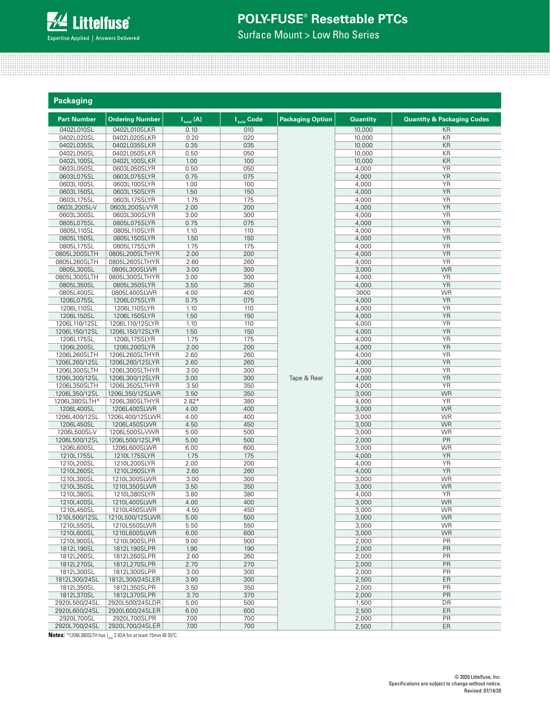

Surface Mount > Low Rho Series

| Packaging                     |                                   |               |                        |                         |                 |                                       |
|-------------------------------|-----------------------------------|---------------|------------------------|-------------------------|-----------------|---------------------------------------|
| <b>Part Number</b>            | <b>Ordering Number</b>            | $I_{hold}(A)$ | I <sub>hold</sub> Code | <b>Packaging Option</b> | <b>Quantity</b> | <b>Quantity &amp; Packaging Codes</b> |
| 0402L010SL                    | 0402L010SLKR                      | 0.10          | 010                    |                         | 10,000          | KR                                    |
| 0402L020SL                    | 0402L020SLKR                      | 0.20          | 020                    |                         | 10,000          | KR                                    |
| 0402L035SL                    | 0402L035SLKR                      | 0.35          | 035                    |                         | 10,000          | KR                                    |
| 0402L050SL                    | 0402L050SLKR                      | 0.50          | 050                    |                         | 10,000          | KR                                    |
| 0402L100SL                    | 0402L100SLKR                      | 1.00          | 100                    |                         | 10,000          | KR                                    |
| 0603L050SL                    | 0603L050SLYR                      | 0.50          | 050                    |                         | 4,000           | <b>YR</b>                             |
| 0603L075SL                    | 0603L075SLYR                      | 0.75          | 075                    |                         | 4,000           | <b>YR</b>                             |
| 0603L100SL<br>0603L150SL      | 0603L100SLYR<br>0603L150SLYR      | 1.00<br>1.50  | 100<br>150             |                         | 4,000<br>4,000  | <b>YR</b><br><b>YR</b>                |
| 0603L175SL                    | 0603L175SLYR                      | 1.75          | 175                    |                         | 4,000           | <b>YR</b>                             |
| 0603L200SL-V                  | 0603L200SL-VYR                    | 2.00          | 200                    |                         | 4,000           | <b>YR</b>                             |
| 0603L300SL                    | 0603L300SLYR                      | 3.00          | 300                    |                         | 4,000           | <b>YR</b>                             |
| 0805L075SL                    | 0805L075SLYR                      | 0.75          | 075                    |                         | 4,000           | <b>YR</b>                             |
| 0805L110SL                    | 0805L110SLYR                      | 1.10          | 110                    |                         | 4,000           | <b>YR</b>                             |
| 0805L150SL                    | 0805L150SLYR                      | 1.50          | 150                    |                         | 4,000           | <b>YR</b>                             |
| 0805L175SL                    | 0805L175SLYR                      | 1.75          | 175                    |                         | 4,000           | <b>YR</b>                             |
| 0805L200SLTH                  | 0805L200SLTHYR                    | 2.00          | 200                    |                         | 4,000           | <b>YR</b>                             |
| 0805L260SLTH                  | 0805L260SLTHYR                    | 2.60          | 260                    |                         | 4,000           | <b>YR</b>                             |
| 0805L300SL                    | 0805L300SLWR                      | 3.00          | 300                    |                         | 3,000           | <b>WR</b>                             |
| 0805L300SLTH                  | 0805L300SLTHYR                    | 3.00          | 300                    |                         | 4,000           | <b>YR</b><br><b>YR</b>                |
| 0805L350SL<br>0805L400SL      | 0805L350SLYR                      | 3.50<br>4.00  | 350<br>400             |                         | 4,000<br>3000   | <b>WR</b>                             |
| 1206L075SL                    | 0805L400SLWR<br>1206L075SLYR      | 0.75          | 075                    |                         | 4,000           | <b>YR</b>                             |
| 1206L110SL                    | 1206L110SLYR                      | 1.10          | 110                    |                         | 4,000           | <b>YR</b>                             |
| 1206L150SL                    | 1206L150SLYR                      | 1.50          | 150                    |                         | 4,000           | <b>YR</b>                             |
| 1206L110/12SL                 | 1206L110/12SLYR                   | 1.10          | 110                    |                         | 4,000           | <b>YR</b>                             |
| 1206L150/12SL                 | 1206L150/12SLYR                   | 1.50          | 150                    |                         | 4,000           | <b>YR</b>                             |
| 1206L175SL                    | 1206L175SLYR                      | 1.75          | 175                    |                         | 4,000           | <b>YR</b>                             |
| 1206L200SL                    | 1206L200SLYR                      | 2.00          | 200                    |                         | 4,000           | <b>YR</b>                             |
| 1206L260SLTH                  | 1206L260SLTHYR                    | 2.60          | 260                    |                         | 4,000           | <b>YR</b>                             |
| 1206L260/12SL                 | 1206L260/12SLYR                   | 2.60          | 260                    |                         | 4,000           | <b>YR</b>                             |
| 1206L300SLTH                  | 1206L300SLTHYR                    | 3.00          | 300                    |                         | 4,000           | <b>YR</b>                             |
| 1206L300/12SL<br>1206L350SLTH | 1206L300/12SLYR<br>1206L350SLTHYR | 3.00<br>3.50  | 300<br>350             | Tape & Reel             | 4,000<br>4,000  | <b>YR</b><br><b>YR</b>                |
| 1206L350/12SL                 | 1206L350/12SLWR                   | 3.50          | 350                    |                         | 3,000           | <b>WR</b>                             |
| 1206L380SLTH*                 | 1206L380SLTHYR                    | $2.82*$       | 380                    |                         | 4,000           | YR                                    |
| 1206L400SL                    | 1206L400SLWR                      | 4.00          | 400                    |                         | 3,000           | <b>WR</b>                             |
| 1206L400/12SL                 | 1206L400/12SLWR                   | 4.00          | 400                    |                         | 3,000           | <b>WR</b>                             |
| 1206L450SL                    | 1206L450SLWR                      | 4.50          | 450                    |                         | 3,000           | <b>WR</b>                             |
| 1206L500SL-V                  | 1206L500SL-VWR                    | 5.00          | 500                    |                         | 3,000           | <b>WR</b>                             |
| 1206L500/12SL                 | 1206L500/12SLPR                   | 5.00          | 500                    |                         | 2,000           | PR                                    |
| 1206L600SL                    | 1206L600SLWR                      | 6.00          | 600                    |                         | 3,000           | <b>WR</b>                             |
| 1210L175SL                    | 1210L175SLYR                      | 1.75          | 175                    |                         | 4,000           | <b>YR</b>                             |
| 1210L200SL<br>1210L260SL      | 1210L200SLYR<br>1210L260SLYR      | 2.00<br>2.60  | 200<br>260             |                         | 4,000           | <b>YR</b><br><b>YR</b>                |
| 1210L300SL                    | 1210L300SLWR                      | 3.00          | 300                    |                         | 4,000<br>3,000  | <b>WR</b>                             |
| 1210L350SL                    | 1210L350SLWR                      | 3.50          | 350                    |                         | 3,000           | WR.                                   |
| 1210L380SL                    | 1210L380SLYR                      | 3.80          | 380                    |                         | 4,000           | YR                                    |
| 1210L400SL                    | 1210L400SLWR                      | 4.00          | 400                    |                         | 3,000           | <b>WR</b>                             |
| 1210L450SL                    | 1210L450SLWR                      | 4.50          | 450                    |                         | 3,000           | <b>WR</b>                             |
| 1210L500/12SL                 | 1210L500/12SLWR                   | 5.00          | 500                    |                         | 3,000           | <b>WR</b>                             |
| 1210L550SL                    | 1210L550SLWR                      | 5.50          | 550                    |                         | 3,000           | <b>WR</b>                             |
| 1210L600SL                    | 1210L600SLWR                      | 6.00          | 600                    |                         | 3,000           | <b>WR</b>                             |
| 1210L900SL                    | 1210L900SLPR                      | 9.00          | 900                    |                         | 2,000           | PR                                    |
| 1812L190SL                    | 1812L190SLPR                      | 1.90          | 190                    |                         | 2,000           | PR                                    |
| 1812L260SL                    | 1812L260SLPR                      | 2.60          | 260                    |                         | 2,000           | PR                                    |
| 1812L270SL<br>1812L300SL      | 1812L270SLPR<br>1812L300SLPR      | 2.70<br>3.00  | 270<br>300             |                         | 2,000<br>2,000  | PR<br>PR                              |
| 1812L300/24SL                 | 1812L300/24SLER                   | 3.00          | 300                    |                         | 2,500           | ER                                    |
| 1812L350SL                    | 1812L350SLPR                      | 3.50          | 350                    |                         | 2,000           | PR                                    |
| 1812L370SL                    | 1812L370SLPR                      | 3.70          | 370                    |                         | 2,000           | PR                                    |
| 2920L500/24SL                 | 2920L500/24SLDR                   | 5.00          | 500                    |                         | 1,500           | DR                                    |
| 2920L600/24SL                 | 2920L600/24SLER                   | 6.00          | 600                    |                         | 2,500           | ER                                    |
| 2920L700SL                    | 2920L700SLPR                      | 7.00          | 700                    |                         | 2,000           | PR                                    |
| 2920L700/24SL                 | 2920L700/24SLER                   | 7.00          | 700                    |                         | 2,500           | ER                                    |

**Notes:** \*1206L380SLTH has I<sub>hold</sub> 2.82A for at least 15min @ 55°C.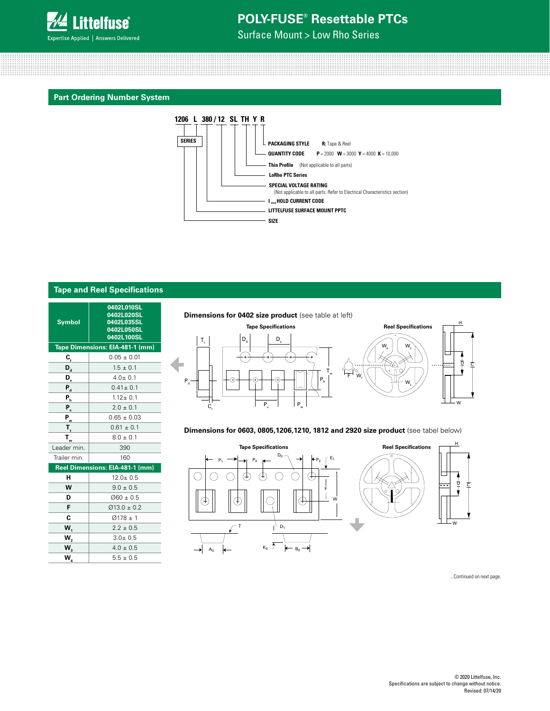

Surface Mount > Low Rho Series

#### **Part Ordering Number System**



|                      | <b>Tape and Reel Specifications</b>                                |
|----------------------|--------------------------------------------------------------------|
| <b>Symbol</b>        | 0402L010SL<br>0402L020SL<br>0402L035SL<br>0402L050SL<br>0402L100SL |
|                      | Tape Dimensions: EIA-481-1 (mm)                                    |
| C,                   | $0.05 \pm 0.01$                                                    |
| $\mathsf{D}_{\sf d}$ | $1.5 \pm 0.1$                                                      |
| D,                   | $4.0 + 0.1$                                                        |
| $P_{d}$              | $0.41 \pm 0.1$                                                     |
| P <sub>h</sub>       | $1.12 + 0.1$                                                       |
| $P_{s}$              | $2.0 + 0.1$                                                        |
| $P_{w}$              | $0.65 \pm 0.03$                                                    |
| T,                   | $0.61 \pm 0.1$                                                     |
| $T_{w}$              | $8.0 \pm 0.1$                                                      |
| Leader min.          | 390                                                                |
| Trailer min.         | 160                                                                |
|                      | Reel Dimensions: EIA-481-1 (mm)                                    |
| н                    | $12.0 \pm 0.5$                                                     |
| W                    | $9.0 + 0.5$                                                        |
| D                    | $0060 \pm 0.5$                                                     |
| F                    | $\varnothing$ 13.0 ± 0.2                                           |
| C                    | $Ø178 \pm 1$                                                       |
| $W_1$                | $2.2 \pm 0.5$                                                      |
| W <sub>2</sub>       | $3.0 + 0.5$                                                        |
| $W_3$                | $4.0 \pm 0.5$                                                      |
| .<br>W <sub>4</sub>  | $5.5 + 0.5$                                                        |

### **Dimensions for 0402 size product** (see table at left)





#### **Dimensions for 0603, 0805,1206,1210, 1812 and 2920 size product** (see tabel below)



...Continued on next page.